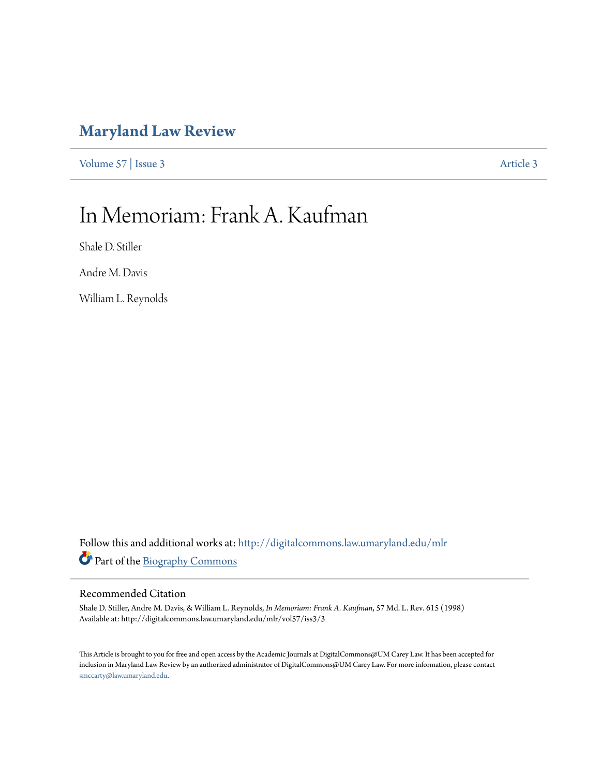### **[Maryland Law Review](http://digitalcommons.law.umaryland.edu/mlr?utm_source=digitalcommons.law.umaryland.edu%2Fmlr%2Fvol57%2Fiss3%2F3&utm_medium=PDF&utm_campaign=PDFCoverPages)**

[Volume 57](http://digitalcommons.law.umaryland.edu/mlr/vol57?utm_source=digitalcommons.law.umaryland.edu%2Fmlr%2Fvol57%2Fiss3%2F3&utm_medium=PDF&utm_campaign=PDFCoverPages) | [Issue 3](http://digitalcommons.law.umaryland.edu/mlr/vol57/iss3?utm_source=digitalcommons.law.umaryland.edu%2Fmlr%2Fvol57%2Fiss3%2F3&utm_medium=PDF&utm_campaign=PDFCoverPages) [Article 3](http://digitalcommons.law.umaryland.edu/mlr/vol57/iss3/3?utm_source=digitalcommons.law.umaryland.edu%2Fmlr%2Fvol57%2Fiss3%2F3&utm_medium=PDF&utm_campaign=PDFCoverPages)

# In Memoriam: Frank A. Kaufman

Shale D. Stiller

Andre M. Davis

William L. Reynolds

Follow this and additional works at: [http://digitalcommons.law.umaryland.edu/mlr](http://digitalcommons.law.umaryland.edu/mlr?utm_source=digitalcommons.law.umaryland.edu%2Fmlr%2Fvol57%2Fiss3%2F3&utm_medium=PDF&utm_campaign=PDFCoverPages) Part of the [Biography Commons](http://network.bepress.com/hgg/discipline/834?utm_source=digitalcommons.law.umaryland.edu%2Fmlr%2Fvol57%2Fiss3%2F3&utm_medium=PDF&utm_campaign=PDFCoverPages)

### Recommended Citation

Shale D. Stiller, Andre M. Davis, & William L. Reynolds, *In Memoriam: Frank A. Kaufman*, 57 Md. L. Rev. 615 (1998) Available at: http://digitalcommons.law.umaryland.edu/mlr/vol57/iss3/3

This Article is brought to you for free and open access by the Academic Journals at DigitalCommons@UM Carey Law. It has been accepted for inclusion in Maryland Law Review by an authorized administrator of DigitalCommons@UM Carey Law. For more information, please contact [smccarty@law.umaryland.edu.](mailto:smccarty@law.umaryland.edu)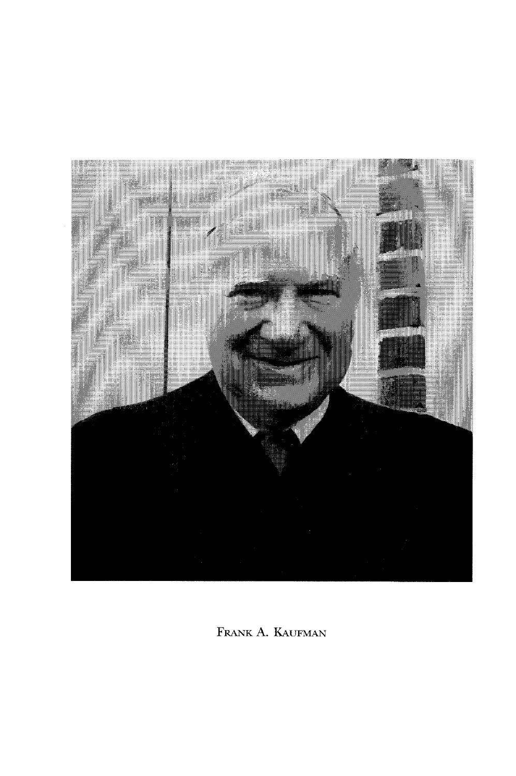

FRANK A. KAUFMAN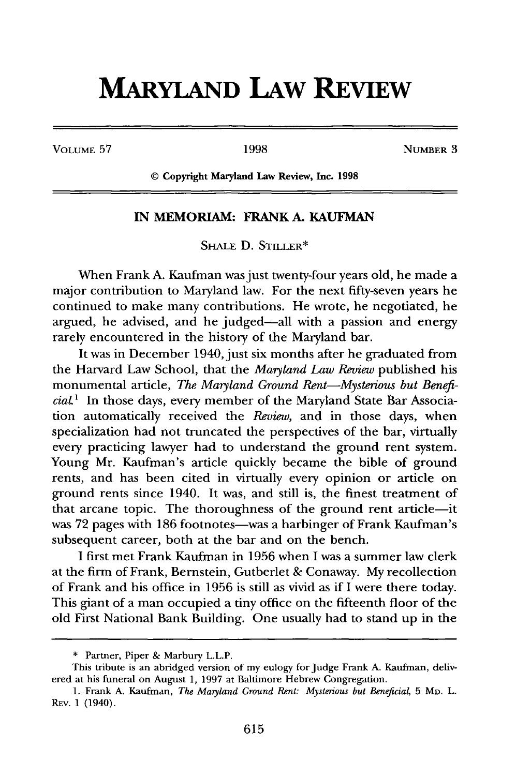## **MARYLAND LAW REVIEW**

**VOLUME 57** 1998 **NUMBER** 3

© Copyright Maryland Law Review, Inc. **1998**

### **IN MEMORIAM: FRANK A. KAUFMAN**

SHALE D. STILLER<sup>\*</sup>

When Frank A. Kaufman was just twenty-four years old, he made a major contribution to Maryland law. For the next fifty-seven years he continued to make many contributions. He wrote, he negotiated, he argued, he advised, and he judged-all with a passion and energy rarely encountered in the history of the Maryland bar.

It was in December 1940, just six months after he graduated from the Harvard Law School, that the *Maryland Law Review* published his monumental article, *The Mayland Ground Rent-Mysterious but BeneficiaL1* In those days, every member of the Maryland State Bar Association automatically received the *Review,* and in those days, when specialization had not truncated the perspectives of the bar, virtually every practicing lawyer had to understand the ground rent system. Young Mr. Kaufman's article quickly became the bible of ground rents, and has been cited in virtually every opinion or article on ground rents since 1940. It was, and still is, the finest treatment of that arcane topic. The thoroughness of the ground rent article-it was 72 pages with 186 footnotes-was a harbinger of Frank Kaufman's subsequent career, both at the bar and on the bench.

I first met Frank Kaufman in 1956 when I was a summer law clerk at the firm of Frank, Bernstein, Gutberlet & Conaway. My recollection of Frank and his office in 1956 is still as vivid as if I were there today. This giant of a man occupied a tiny office on the fifteenth floor of the old First National Bank Building. One usually had to stand up in the

<sup>\*</sup> Partner, Piper & Marbury L.L.P.

This tribute is an abridged version of my eulogy for Judge Frank A. Kaufman, delivered at his funeral on August 1, 1997 at Baltimore Hebrew Congregation.

<sup>1.</sup> Frank A. Kaufman, *The Maryland Ground Rent: Mysterious but Beneficial*, 5 Mp. L. REv. 1 (1940).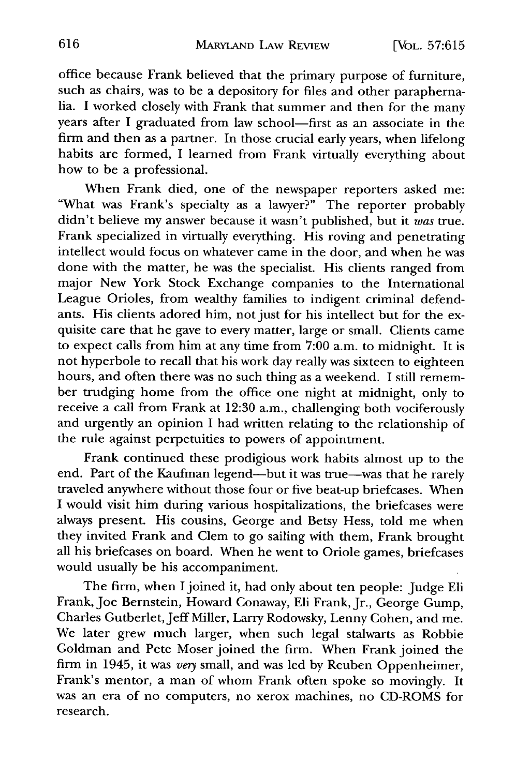office because Frank believed that the primary purpose of furniture, such as chairs, was to be a depository for files and other paraphernalia. I worked closely with Frank that summer and then for the many years after I graduated from law school-first as an associate in the firm and then as a partner. In those crucial early years, when lifelong habits are formed, I learned from Frank virtually everything about how to be a professional.

When Frank died, one of the newspaper reporters asked me: "What was Frank's specialty as a lawyer?" The reporter probably didn't believe my answer because it wasn't published, but it *was* true. Frank specialized in virtually everything. His roving and penetrating intellect would focus on whatever came in the door, and when he was done with the matter, he was the specialist. His clients ranged from major New York Stock Exchange companies to the International League Orioles, from wealthy families to indigent criminal defendants. His clients adored him, not just for his intellect but for the exquisite care that he gave to every matter, large or small. Clients came to expect calls from him at any time from 7:00 a.m. to midnight. It is not hyperbole to recall that his work day really was sixteen to eighteen hours, and often there was no such thing as a weekend. I still remember trudging home from the office one night at midnight, only to receive a call from Frank at 12:30 a.m., challenging both vociferously and urgently an opinion I had written relating to the relationship of the rule against perpetuities to powers of appointment.

Frank continued these prodigious work habits almost up to the end. Part of the Kaufman legend-but it was true-was that he rarely traveled anywhere without those four or five beat-up briefcases. When I would visit him during various hospitalizations, the briefcases were always present. His cousins, George and Betsy Hess, told me when they invited Frank and Clem to go sailing with them, Frank brought all his briefcases on board. When he went to Oriole games, briefcases would usually be his accompaniment.

The firm, when I joined it, had only about ten people: Judge Eli Frank, Joe Bernstein, Howard Conaway, Eli Frank, Jr., George Gump, Charles Gutberlet, Jeff Miller, Larry Rodowsky, Lenny Cohen, and me. We later grew much larger, when such legal stalwarts as Robbie Goldman and Pete Moser joined the firm. When Frank joined the firm in 1945, it was *very* small, and was led by Reuben Oppenheimer, Frank's mentor, a man of whom Frank often spoke so movingly. It was an era of no computers, no xerox machines, no CD-ROMS for research.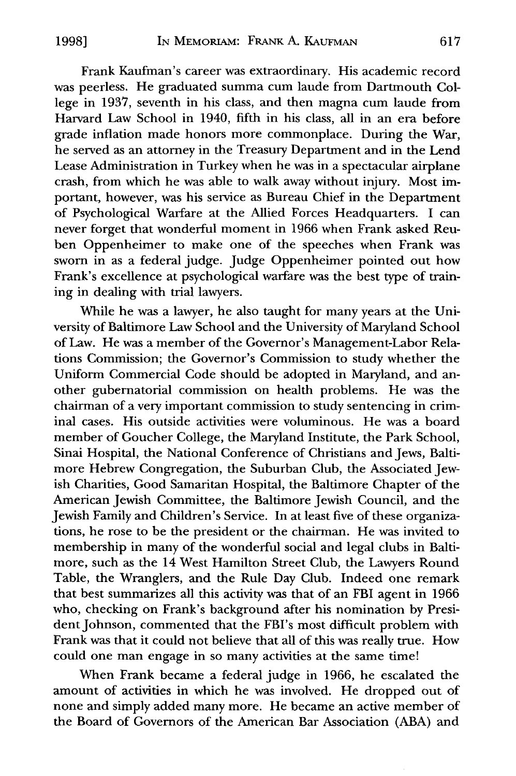Frank Kaufman's career was extraordinary. His academic record was peerless. He graduated summa cum laude from Dartmouth College in 1937, seventh in his class, and then magna cum laude from Harvard Law School in 1940, fifth in his class, all in an era before grade inflation made honors more commonplace. During the War, he served as an attorney in the Treasury Department and in the Lend Lease Administration in Turkey when he was in a spectacular airplane crash, from which he was able to walk away without injury. Most important, however, was his service as Bureau Chief in the Department of Psychological Warfare at the Allied Forces Headquarters. I can never forget that wonderful moment in 1966 when Frank asked Reuben Oppenheimer to make one of the speeches when Frank was sworn in as a federal judge. Judge Oppenheimer pointed out how Frank's excellence at psychological warfare was the best type of training in dealing with trial lawyers.

While he was a lawyer, he also taught for many years at the University of Baltimore Law School and the University of Maryland School of Law. He was a member of the Governor's Management-Labor Relations Commission; the Governor's Commission to study whether the Uniform Commercial Code should be adopted in Maryland, and another gubernatorial commission on health problems. He was the chairman of a very important commission to study sentencing in criminal cases. His outside activities were voluminous. He was a board member of Goucher College, the Maryland Institute, the Park School, Sinai Hospital, the National Conference of Christians and Jews, Baltimore Hebrew Congregation, the Suburban Club, the Associated Jewish Charities, Good Samaritan Hospital, the Baltimore Chapter of the American Jewish Committee, the Baltimore Jewish Council, and the Jewish Family and Children's Service. In at least five of these organizations, he rose to be the president or the chairman. He was invited to membership in many of the wonderful social and legal clubs in Baltimore, such as the 14 West Hamilton Street Club, the Lawyers Round Table, the Wranglers, and the Rule Day Club. Indeed one remark that best summarizes all this activity was that of an FBI agent in 1966 who, checking on Frank's background after his nomination by President Johnson, commented that the FBI's most difficult problem with Frank was that it could not believe that all of this was really true. How could one man engage in so many activities at the same time!

When Frank became a federal judge in 1966, he escalated the amount of activities in which he was involved. He dropped out of none and simply added many more. He became an active member of the Board of Governors of the American Bar Association (ABA) and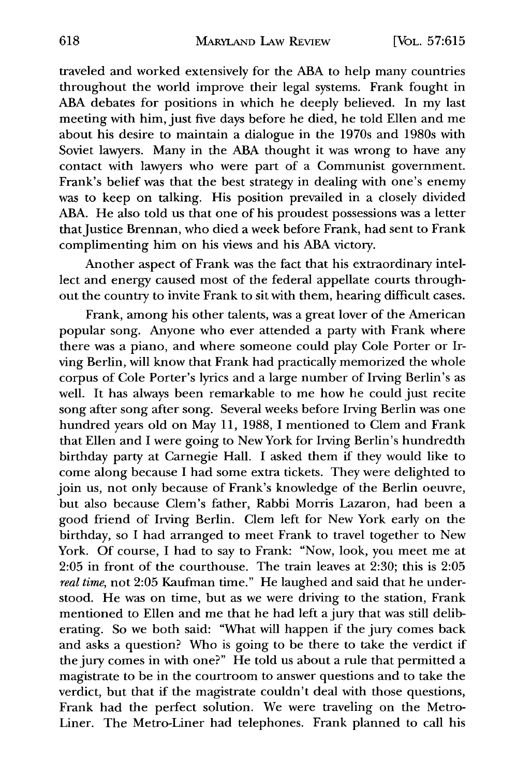traveled and worked extensively for the ABA to help many countries throughout the world improve their legal systems. Frank fought in ABA debates for positions in which he deeply believed. In my last meeting with him, just five days before he died, he told Ellen and me about his desire to maintain a dialogue in the 1970s and 1980s with Soviet lawyers. Many in the ABA thought it was wrong to have any contact with lawyers who were part of a Communist government. Frank's belief was that the best strategy in dealing with one's enemy was to keep on talking. His position prevailed in a closely divided ABA. He also told us that one of his proudest possessions was a letter that Justice Brennan, who died a week before Frank, had sent to Frank complimenting him on his views and his ABA victory.

Another aspect of Frank was the fact that his extraordinary intellect and energy caused most of the federal appellate courts throughout the country to invite Frank to sit with them, hearing difficult cases.

Frank, among his other talents, was a great lover of the American popular song. Anyone who ever attended a party with Frank where there was a piano, and where someone could play Cole Porter or Irving Berlin, will know that Frank had practically memorized the whole corpus of Cole Porter's lyrics and a large number of Irving Berlin's as well. It has always been remarkable to me how he could just recite song after song after song. Several weeks before Irving Berlin was one hundred years old on May 11, 1988, I mentioned to Clem and Frank that Ellen and I were going to New York for Irving Berlin's hundredth birthday party at Carnegie Hall. I asked them if they would like to come along because I had some extra tickets. They were delighted to join us, not only because of Frank's knowledge of the Berlin oeuvre, but also because Clem's father, Rabbi Morris Lazaron, had been a good friend of Irving Berlin. Clem left for New York early on the birthday, so I had arranged to meet Frank to travel together to New York. Of course, I had to say to Frank: "Now, look, you meet me at 2:05 in front of the courthouse. The train leaves at 2:30; this is 2:05 *real time,* not 2:05 Kaufman time." He laughed and said that he understood. He was on time, but as we were driving to the station, Frank mentioned to Ellen and me that he had left a jury that was still deliberating. So we both said: "What will happen if the jury comes back and asks a question? Who is going to be there to take the verdict if the jury comes in with one?" He told us about a rule that permitted a magistrate to be in the courtroom to answer questions and to take the verdict, but that if the magistrate couldn't deal with those questions, Frank had the perfect solution. We were traveling on the Metro-Liner. The Metro-Liner had telephones. Frank planned to call his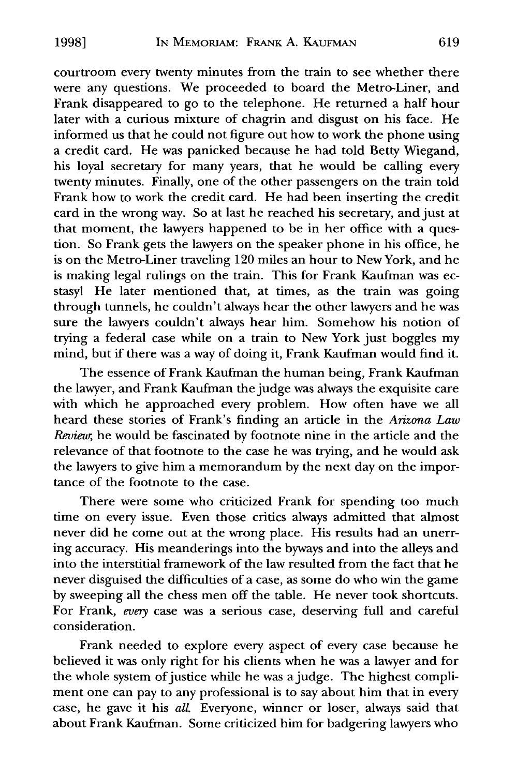courtroom every twenty minutes from the train to see whether there were any questions. We proceeded to board the Metro-Liner, and Frank disappeared to go to the telephone. He returned a half hour later with a curious mixture of chagrin and disgust on his face. He informed us that he could not figure out how to work the phone using a credit card. He was panicked because he had told Betty Wiegand, his loyal secretary for many years, that he would be calling every twenty minutes. Finally, one of the other passengers on the train told Frank how to work the credit card. He had been inserting the credit card in the wrong way. So at last he reached his secretary, and just at that moment, the lawyers happened to be in her office with a question. So Frank gets the lawyers on the speaker phone in his office, he is on the Metro-Liner traveling 120 miles an hour to New York, and he is making legal rulings on the train. This for Frank Kaufman was ecstasy! He later mentioned that, at times, as the train was going through tunnels, he couldn't always hear the other lawyers and he was sure the lawyers couldn't always hear him. Somehow his notion of trying a federal case while on a train to New York just boggles my mind, but if there was a way of doing it, Frank Kaufman would find it.

The essence of Frank Kaufman the human being, Frank Kaufman the lawyer, and Frank Kaufman the judge was always the exquisite care with which he approached every problem. How often have we all heard these stories of Frank's finding an article in the *Arizona Law Review,* he would be fascinated **by** footnote nine in the article and the relevance of that footnote to the case he was trying, and he would ask the lawyers to give him a memorandum **by** the next day on the importance of the footnote to the case.

There were some who criticized Frank for spending too much time on every issue. Even those critics always admitted that almost never did he come out at the wrong place. His results had an unerring accuracy. His meanderings into the byways and into the alleys and into the interstitial framework of the law resulted from the fact that he never disguised the difficulties of a case, as some do who win the game **by** sweeping all the chess men off the table. He never took shortcuts. For Frank, *every* case was a serious case, deserving full and careful consideration.

Frank needed to explore every aspect of every case because he believed it was only right for his clients when he was a lawyer and for the whole system of justice while he was a judge. The highest compliment one can pay to any professional is to say about him that in every case, he gave it his *all* Everyone, winner or loser, always said that about Frank Kaufman. Some criticized him for badgering lawyers who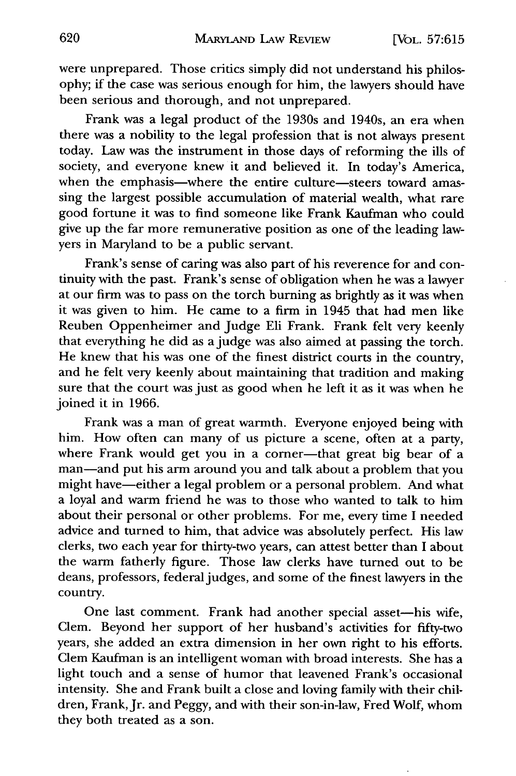were unprepared. Those critics simply did not understand his philosophy; if the case was serious enough for him, the lawyers should have been serious and thorough, and not unprepared.

Frank was a legal product of the 1930s and 1940s, an era when there was a nobility to the legal profession that is not always present today. Law was the instrument in those days of reforming the ills of society, and everyone knew it and believed it. In today's America, when the emphasis-where the entire culture-steers toward amassing the largest possible accumulation of material wealth, what rare good fortune it was to find someone like Frank Kaufman who could give up the far more remunerative position as one of the leading lawyers in Maryland to be a public servant.

Frank's sense of caring was also part of his reverence for and continuity with the past. Frank's sense of obligation when he was a lawyer at our firm was to pass on the torch burning as brightly as it was when it was given to him. He came to a firm in 1945 that had men like Reuben Oppenheimer and Judge Eli Frank. Frank felt very keenly that everything he did as a judge was also aimed at passing the torch. He knew that his was one of the finest district courts in the country, and he felt very keenly about maintaining that tradition and making sure that the court was just as good when he left it as it was when he joined it in 1966.

Frank was a man of great warmth. Everyone enjoyed being with him. How often can many of us picture a scene, often at a party, where Frank would get you in a corner-that great big bear of a man-and put his arm around you and talk about a problem that you might have-either a legal problem or a personal problem. And what a loyal and warm friend he was to those who wanted to talk to him about their personal or other problems. For me, every time I needed advice and turned to him, that advice was absolutely perfect. His law clerks, two each year for thirty-two years, can attest better than I about the warm fatherly figure. Those law clerks have turned out to be deans, professors, federal judges, and some of the finest lawyers in the country.

One last comment. Frank had another special asset-his wife, Clem. Beyond her support of her husband's activities for fifty-two years, she added an extra dimension in her own right to his efforts. Clem Kaufman is an intelligent woman with broad interests. She has a light touch and a sense of humor that leavened Frank's occasional intensity. She and Frank built a close and loving family with their children, Frank, Jr. and Peggy, and with their son-in-law, Fred Wolf, whom they both treated as a son.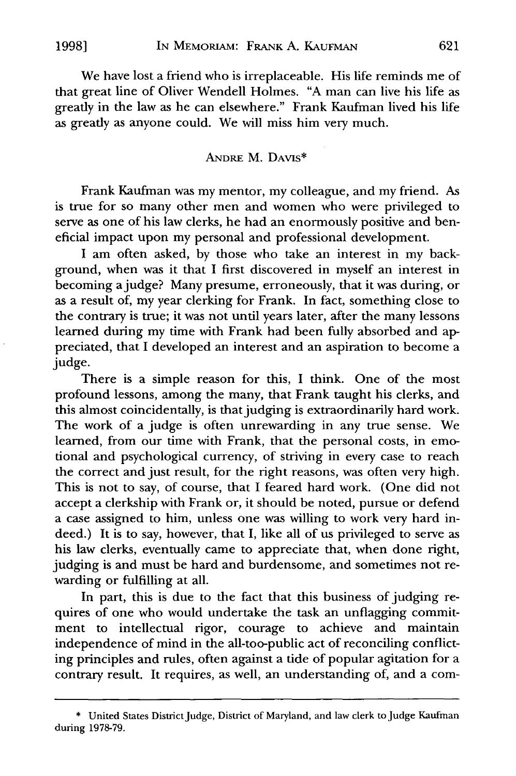We have lost a friend who is irreplaceable. His life reminds me of that great line of Oliver Wendell Holmes. "A man can live his life as greatly in the law as he can elsewhere." Frank Kaufman lived his life as greatly as anyone could. We will miss him very much.

#### **ANDRE** M. DAVIs\*

Frank Kaufman was my mentor, my colleague, and my friend. As is true for so many other men and women who were privileged to serve as one of his law clerks, he had an enormously positive and beneficial impact upon my personal and professional development.

I am often asked, by those who take an interest in my background, when was it that I first discovered in myself an interest in becoming a judge? Many presume, erroneously, that it was during, or as a result of, my year clerking for Frank. In fact, something close to the contrary is true; it was not until years later, after the many lessons learned during my time with Frank had been fully absorbed and appreciated, that I developed an interest and an aspiration to become a judge.

There is a simple reason for this, I think. One of the most profound lessons, among the many, that Frank taught his clerks, and this almost coincidentally, is that judging is extraordinarily hard work. The work of a judge is often unrewarding in any true sense. We learned, from our time with Frank, that the personal costs, in emotional and psychological currency, of striving in every case to reach the correct and just result, for the right reasons, was often very high. This is not to say, of course, that **I** feared hard work. (One did not accept a clerkship with Frank or, it should be noted, pursue or defend a case assigned to him, unless one was willing to work very hard indeed.) It is to say, however, that **I,** like all of us privileged to serve as his law clerks, eventually came to appreciate that, when done right, judging is and must be hard and burdensome, and sometimes not rewarding or fulfilling at all.

In part, this is due to the fact that this business of judging requires of one who would undertake the task an unflagging commitment to intellectual rigor, courage to achieve and maintain independence of mind in the all-too-public act of reconciling conflicting principles and rules, often against a tide of popular agitation for a contrary result. It requires, as well, an understanding of, and a com-

**<sup>\*</sup>** United States District Judge, District of Maryland, and law clerk to Judge Kaufman during **1978-79.**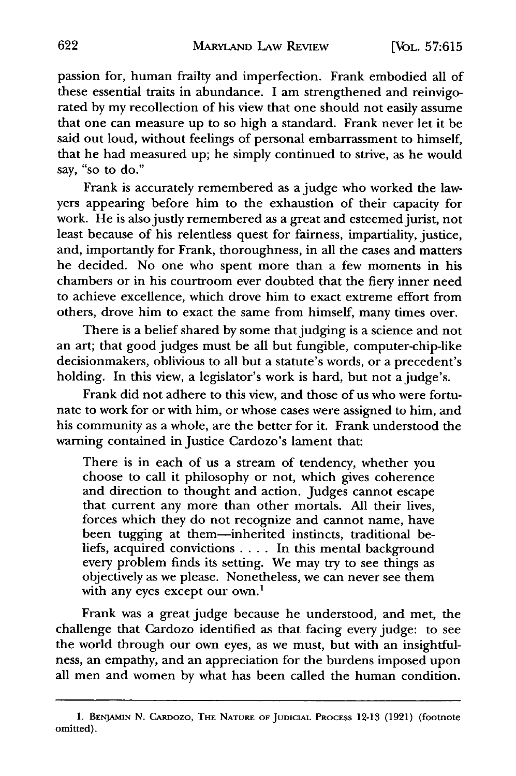passion for, human frailty and imperfection. Frank embodied all of these essential traits in abundance. I am strengthened and reinvigorated by my recollection of his view that one should not easily assume that one can measure up to so high a standard. Frank never let it be said out loud, without feelings of personal embarrassment to himself, that he had measured up; he simply continued to strive, as he would say, "so to do."

Frank is accurately remembered as a judge who worked the lawyers appearing before him to the exhaustion of their capacity for work. He is also justly remembered as a great and esteemed jurist, not least because of his relentless quest for fairness, impartiality, justice, and, importantly for Frank, thoroughness, in all the cases and matters he decided. No one who spent more than a few moments in his chambers or in his courtroom ever doubted that the fiery inner need to achieve excellence, which drove him to exact extreme effort from others, drove him to exact the same from himself, many times over.

There is a belief shared by some that judging is a science and not an art; that good judges must be all but fungible, computer-chip-like decisionmakers, oblivious to all but a statute's words, or a precedent's holding. In this view, a legislator's work is hard, but not a judge's.

Frank did not adhere to this view, and those of us who were fortunate to work for or with him, or whose cases were assigned to him, and his community as a whole, are the better for it. Frank understood the warning contained in Justice Cardozo's lament that:

There is in each of us a stream of tendency, whether you choose to call it philosophy or not, which gives coherence and direction to thought and action. Judges cannot escape that current any more than other mortals. All their lives, forces which they do not recognize and cannot name, have been tugging at them-inherited instincts, traditional beliefs, acquired convictions .... In this mental background every problem finds its setting. We may try to see things as objectively as we please. Nonetheless, we can never see them with any eyes except our own.<sup>1</sup>

Frank was a great judge because he understood, and met, the challenge that Cardozo identified as that facing every judge: to see the world through our own eyes, as we must, but with an insightfulness, an empathy, and an appreciation for the burdens imposed upon all men and women by what has been called the human condition.

**<sup>1.</sup> BENJAMIN N.** CARDOZO, THE NATURE OF JUDICIAL **PROCESS 12-13 (1921)** (footnote omitted).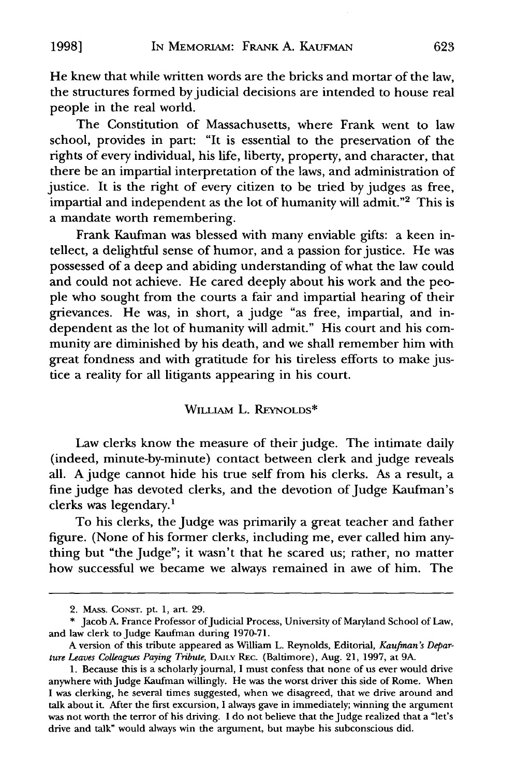He knew that while written words are the bricks and mortar of the law, the structures formed by judicial decisions are intended to house real people in the real world.

The Constitution of Massachusetts, where Frank went to law school, provides in part: "It is essential to the preservation of the rights of every individual, his life, liberty, property, and character, that there be an impartial interpretation of the laws, and administration of justice. It is the right of every citizen to be tried by judges as free, impartial and independent as the lot of humanity will admit."2 This is a mandate worth remembering.

Frank Kaufman was blessed with many enviable gifts: a keen intellect, a delightful sense of humor, and a passion for justice. He was possessed of a deep and abiding understanding of what the law could and could not achieve. He cared deeply about his work and the people who sought from the courts a fair and impartial hearing of their grievances. He was, in short, a judge "as free, impartial, and independent as the lot of humanity will admit." His court and his community are diminished by his death, and we shall remember him with great fondness and with gratitude for his tireless efforts to make justice a reality for all litigants appearing in his court.

#### WiLLIAM L. REYNOLDS\*

Law clerks know the measure of their judge. The intimate daily (indeed, minute-by-minute) contact between clerk and judge reveals all. A judge cannot hide his true self from his clerks. As a result, a fine judge has devoted clerks, and the devotion of Judge Kaufman's clerks was legendary.'

To his clerks, the Judge was primarily a great teacher and father figure. (None of his former clerks, including me, ever called him anything but "the Judge"; it wasn't that he scared us; rather, no matter how successful we became we always remained in awe of him. The

623

**19981**

<sup>2.</sup> MASS. CONST. Pt. 1, art. 29.

<sup>\*</sup> Jacob A. France Professor of Judicial Process, University of Maryland School of Law, and law clerk to Judge Kaufman during 1970-71.

A version of this tribute appeared as William L. Reynolds, Editorial, *Kaufman's Departure Leaves Colleagues Paying Tribute,* DAILY REC. (Baltimore), Aug. 21, 1997, at 9A.

**<sup>1.</sup>** Because this is a scholarly journal, I must confess that none of us ever would drive anywhere with Judge Kaufman willingly. He was the worst driver this side of Rome. When I was clerking, he several times suggested, when we disagreed, that we drive around and talk about it. After the first excursion, I always gave in immediately; winning the argument was not worth the terror of his driving. I do not believe that the Judge realized that a "let's drive and talk" would always win the argument, but maybe his subconscious did.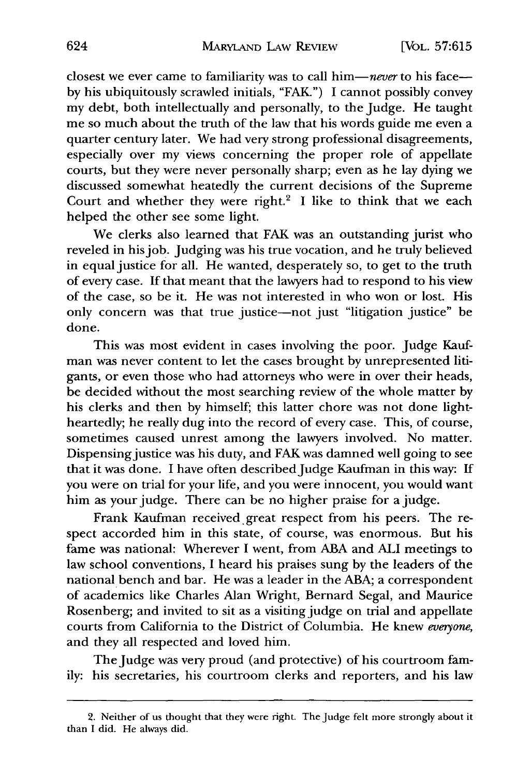closest we ever came to familiarity was to call him-never to his faceby his ubiquitously scrawled initials, "FAK") I cannot possibly convey my debt, both intellectually and personally, to the Judge. He taught me so much about the truth of the law that his words guide me even a quarter century later. We had very strong professional disagreements, especially over my views concerning the proper role of appellate courts, but they were never personally sharp; even as he lay dying we discussed somewhat heatedly the current decisions of the Supreme Court and whether they were right.<sup>2</sup> I like to think that we each helped the other see some light.

We clerks also learned that FAK was an outstanding jurist who reveled in hisjob. Judging was his true vocation, and he truly believed in equal justice for all. He wanted, desperately so, to get to the truth of every case. If that meant that the lawyers had to respond to his view of the case, so be it. He was not interested in who won or lost. His only concern was that true justice-not just "litigation justice" be done.

This was most evident in cases involving the poor. Judge Kaufman was never content to let the cases brought by unrepresented litigants, or even those who had attorneys who were in over their heads, be decided without the most searching review of the whole matter by his clerks and then by himself; this latter chore was not done lightheartedly; he really dug into the record of every case. This, of course, sometimes caused unrest among the lawyers involved. No matter. Dispensing justice was his duty, and FAK was damned well going to see that it was done. I have often described Judge Kaufman in this way: **If** you were on trial for your life, and you were innocent, you would want him as your judge. There can be no higher praise for a judge.

Frank Kaufman received great respect from his peers. The respect accorded him in this state, of course, was enormous. But his fame was national: Wherever I went, from ABA and **ALI** meetings to law school conventions, I heard his praises sung by the leaders of the national bench and bar. He was a leader in the ABA; a correspondent of academics like Charles Alan Wright, Bernard Segal, and Maurice Rosenberg; and invited to sit as a visiting judge on trial and appellate courts from California to the District of Columbia. He knew *everyone,* and they all respected and loved him.

The Judge was very proud (and protective) of his courtroom family: his secretaries, his courtroom clerks and reporters, and his law

<sup>2.</sup> Neither of us thought that they were right. The Judge felt more strongly about it than I did. He always did.